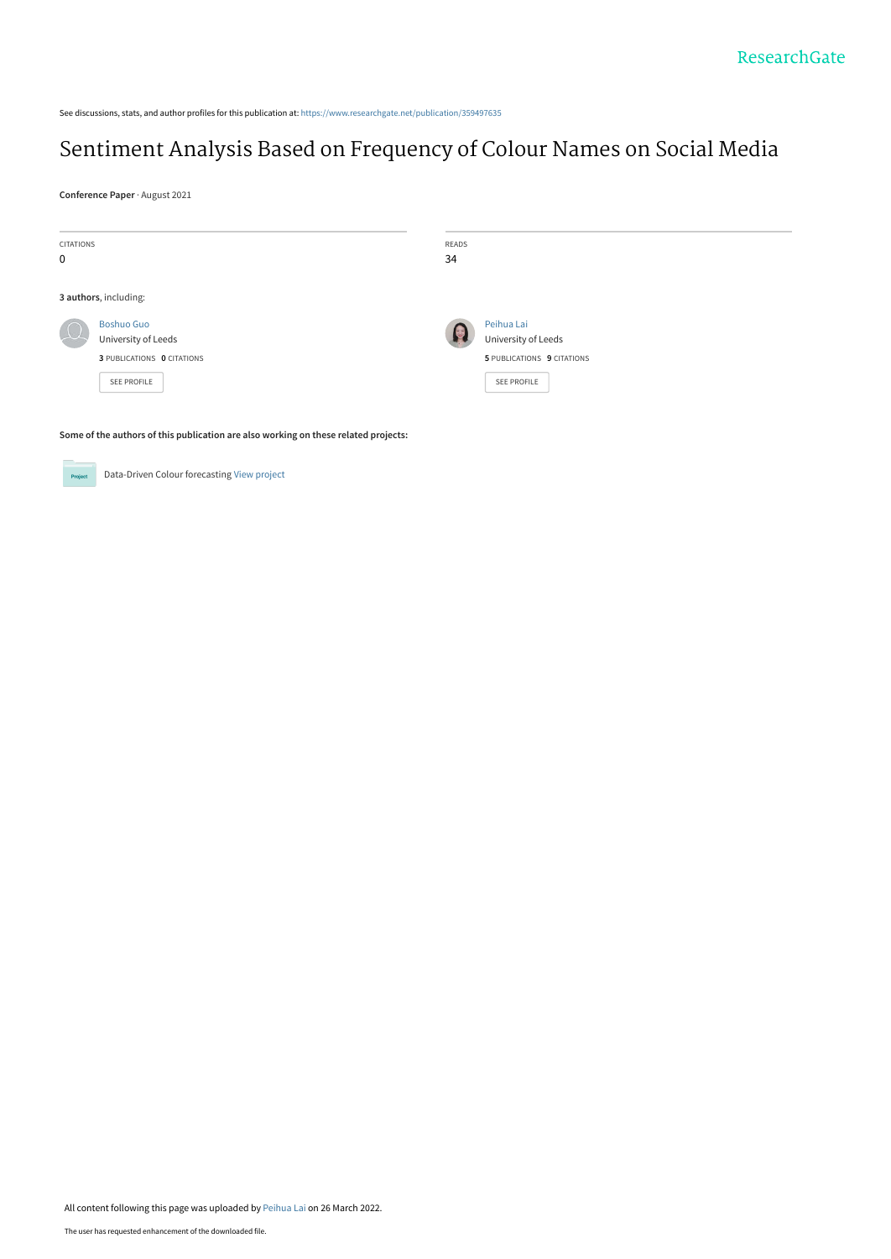See discussions, stats, and author profiles for this publication at: [https://www.researchgate.net/publication/359497635](https://www.researchgate.net/publication/359497635_Sentiment_Analysis_Based_on_Frequency_of_Colour_Names_on_Social_Media?enrichId=rgreq-2bdbcf852a76c19a421d9faee03d04ff-XXX&enrichSource=Y292ZXJQYWdlOzM1OTQ5NzYzNTtBUzoxMTM3OTk0OTc5Mzg1MzQ0QDE2NDgzMzA1NTQzMTE%3D&el=1_x_2&_esc=publicationCoverPdf)

# [Sentiment Analysis Based on Frequency of Colour Names on Social Media](https://www.researchgate.net/publication/359497635_Sentiment_Analysis_Based_on_Frequency_of_Colour_Names_on_Social_Media?enrichId=rgreq-2bdbcf852a76c19a421d9faee03d04ff-XXX&enrichSource=Y292ZXJQYWdlOzM1OTQ5NzYzNTtBUzoxMTM3OTk0OTc5Mzg1MzQ0QDE2NDgzMzA1NTQzMTE%3D&el=1_x_3&_esc=publicationCoverPdf)

**Conference Paper** · August 2021

| <b>CITATIONS</b> |                                          | READS |                                   |
|------------------|------------------------------------------|-------|-----------------------------------|
| $\mathbf 0$      |                                          | 34    |                                   |
|                  | 3 authors, including:                    |       |                                   |
| $\left( \right)$ | <b>Boshuo Guo</b><br>University of Leeds | 18    | Peihua Lai<br>University of Leeds |
|                  | 3 PUBLICATIONS 0 CITATIONS               |       | 5 PUBLICATIONS 9 CITATIONS        |
|                  | SEE PROFILE                              |       | SEE PROFILE                       |
|                  |                                          |       |                                   |

**Some of the authors of this publication are also working on these related projects:**



Data-Driven Colour forecasting [View project](https://www.researchgate.net/project/Data-Driven-Colour-forecasting?enrichId=rgreq-2bdbcf852a76c19a421d9faee03d04ff-XXX&enrichSource=Y292ZXJQYWdlOzM1OTQ5NzYzNTtBUzoxMTM3OTk0OTc5Mzg1MzQ0QDE2NDgzMzA1NTQzMTE%3D&el=1_x_9&_esc=publicationCoverPdf)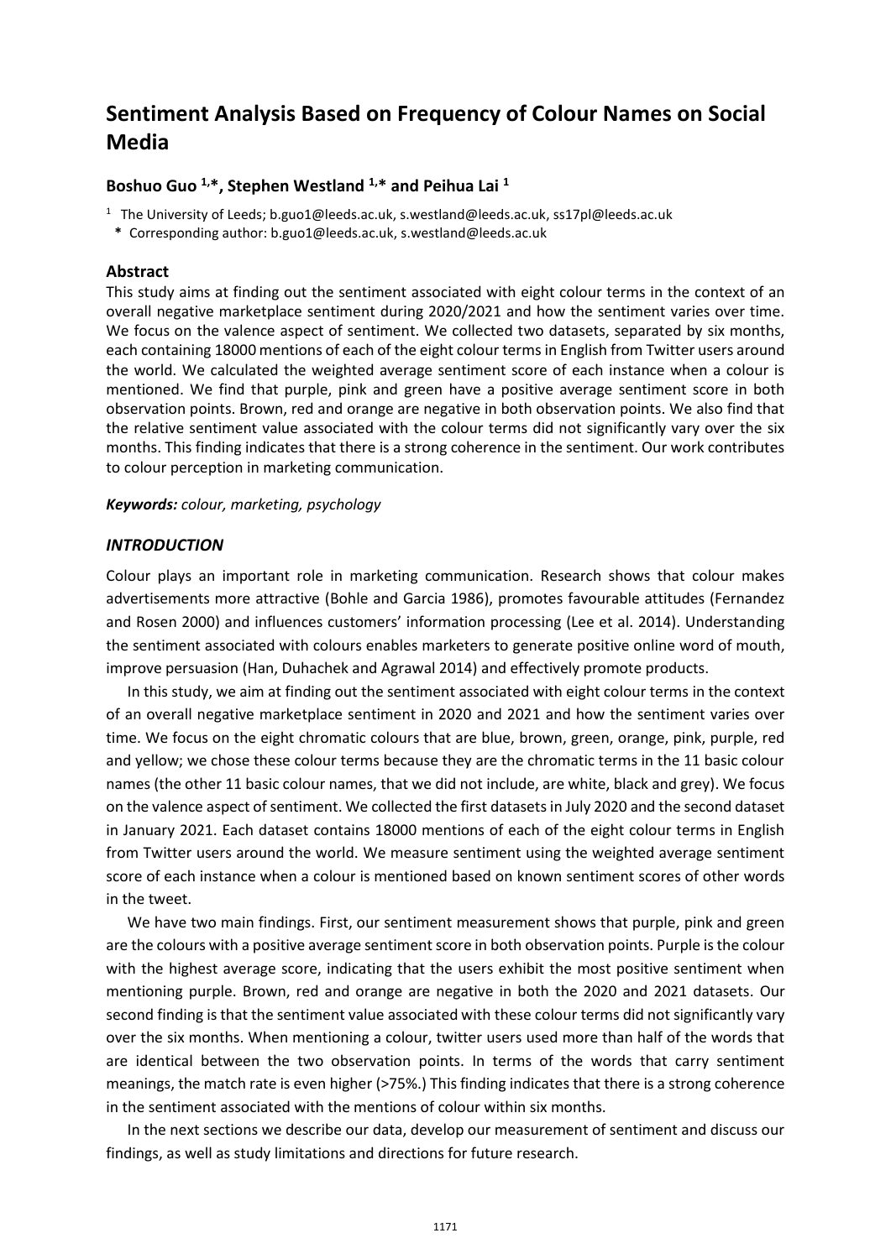## **Sentiment Analysis Based on Frequency of Colour Names on Social Media**

### **Boshuo Guo 1, \*, Stephen Westland 1, \* and Peihua Lai <sup>1</sup>**

<sup>1</sup> The University of Leeds; b.guo1@leeds.ac.uk[, s.westland@leeds.ac.uk,](mailto:s.westland@leeds.ac.uk) ss17pl@leeds.ac.uk

**\*** Corresponding author: b.guo1@leeds.ac.uk, s.westland@leeds.ac.uk

#### **Abstract**

This study aims at finding out the sentiment associated with eight colour terms in the context of an overall negative marketplace sentiment during 2020/2021 and how the sentiment varies over time. We focus on the valence aspect of sentiment. We collected two datasets, separated by six months, each containing 18000 mentions of each of the eight colour terms in English from Twitter users around the world. We calculated the weighted average sentiment score of each instance when a colour is mentioned. We find that purple, pink and green have a positive average sentiment score in both observation points. Brown, red and orange are negative in both observation points. We also find that the relative sentiment value associated with the colour terms did not significantly vary over the six months. This finding indicates that there is a strong coherence in the sentiment. Our work contributes to colour perception in marketing communication.

#### *Keywords: colour, marketing, psychology*

#### *INTRODUCTION*

Colour plays an important role in marketing communication. Research shows that colour makes advertisements more attractive (Bohle and Garcia 1986), promotes favourable attitudes (Fernandez and Rosen 2000) and influences customers' information processing (Lee et al. 2014). Understanding the sentiment associated with colours enables marketers to generate positive online word of mouth, improve persuasion (Han, Duhachek and Agrawal 2014) and effectively promote products.

In this study, we aim at finding out the sentiment associated with eight colour terms in the context of an overall negative marketplace sentiment in 2020 and 2021 and how the sentiment varies over time. We focus on the eight chromatic colours that are blue, brown, green, orange, pink, purple, red and yellow; we chose these colour terms because they are the chromatic terms in the 11 basic colour names (the other 11 basic colour names, that we did not include, are white, black and grey). We focus on the valence aspect of sentiment. We collected the first datasetsin July 2020 and the second dataset in January 2021. Each dataset contains 18000 mentions of each of the eight colour terms in English from Twitter users around the world. We measure sentiment using the weighted average sentiment score of each instance when a colour is mentioned based on known sentiment scores of other words in the tweet.

We have two main findings. First, our sentiment measurement shows that purple, pink and green are the colours with a positive average sentiment score in both observation points. Purple is the colour with the highest average score, indicating that the users exhibit the most positive sentiment when mentioning purple. Brown, red and orange are negative in both the 2020 and 2021 datasets. Our second finding is that the sentiment value associated with these colour terms did not significantly vary over the six months. When mentioning a colour, twitter users used more than half of the words that are identical between the two observation points. In terms of the words that carry sentiment meanings, the match rate is even higher (>75%.) This finding indicates that there is a strong coherence in the sentiment associated with the mentions of colour within six months.

In the next sections we describe our data, develop our measurement of sentiment and discuss our findings, as well as study limitations and directions for future research.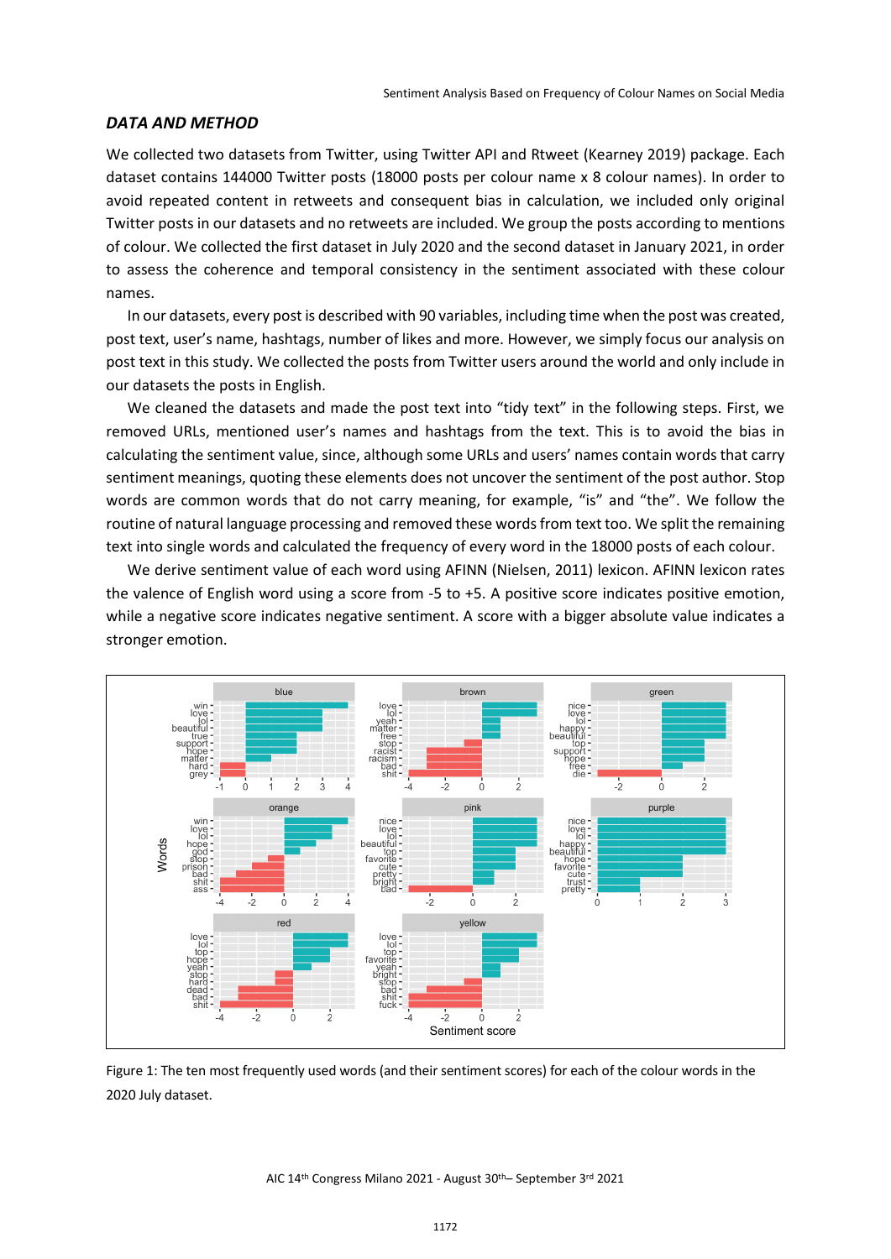#### *DATA AND METHOD*

We collected two datasets from Twitter, using Twitter API and Rtweet (Kearney 2019) package. Each dataset contains 144000 Twitter posts (18000 posts per colour name x 8 colour names). In order to avoid repeated content in retweets and consequent bias in calculation, we included only original Twitter posts in our datasets and no retweets are included. We group the posts according to mentions of colour. We collected the first dataset in July 2020 and the second dataset in January 2021, in order to assess the coherence and temporal consistency in the sentiment associated with these colour names.

In our datasets, every post is described with 90 variables, including time when the post was created, post text, user's name, hashtags, number of likes and more. However, we simply focus our analysis on post text in this study. We collected the posts from Twitter users around the world and only include in our datasets the posts in English.

We cleaned the datasets and made the post text into "tidy text" in the following steps. First, we removed URLs, mentioned user's names and hashtags from the text. This is to avoid the bias in calculating the sentiment value, since, although some URLs and users' names contain words that carry sentiment meanings, quoting these elements does not uncover the sentiment of the post author. Stop words are common words that do not carry meaning, for example, "is" and "the". We follow the routine of natural language processing and removed these words from text too. We split the remaining text into single words and calculated the frequency of every word in the 18000 posts of each colour.

We derive sentiment value of each word using AFINN (Nielsen, 2011) lexicon. AFINN lexicon rates the valence of English word using a score from -5 to +5. A positive score indicates positive emotion, while a negative score indicates negative sentiment. A score with a bigger absolute value indicates a stronger emotion.



Figure 1: The ten most frequently used words (and their sentiment scores) for each of the colour words in the 2020 July dataset.

AIC 14th Congress Milano 2021 - August 30th– September 3rd 2021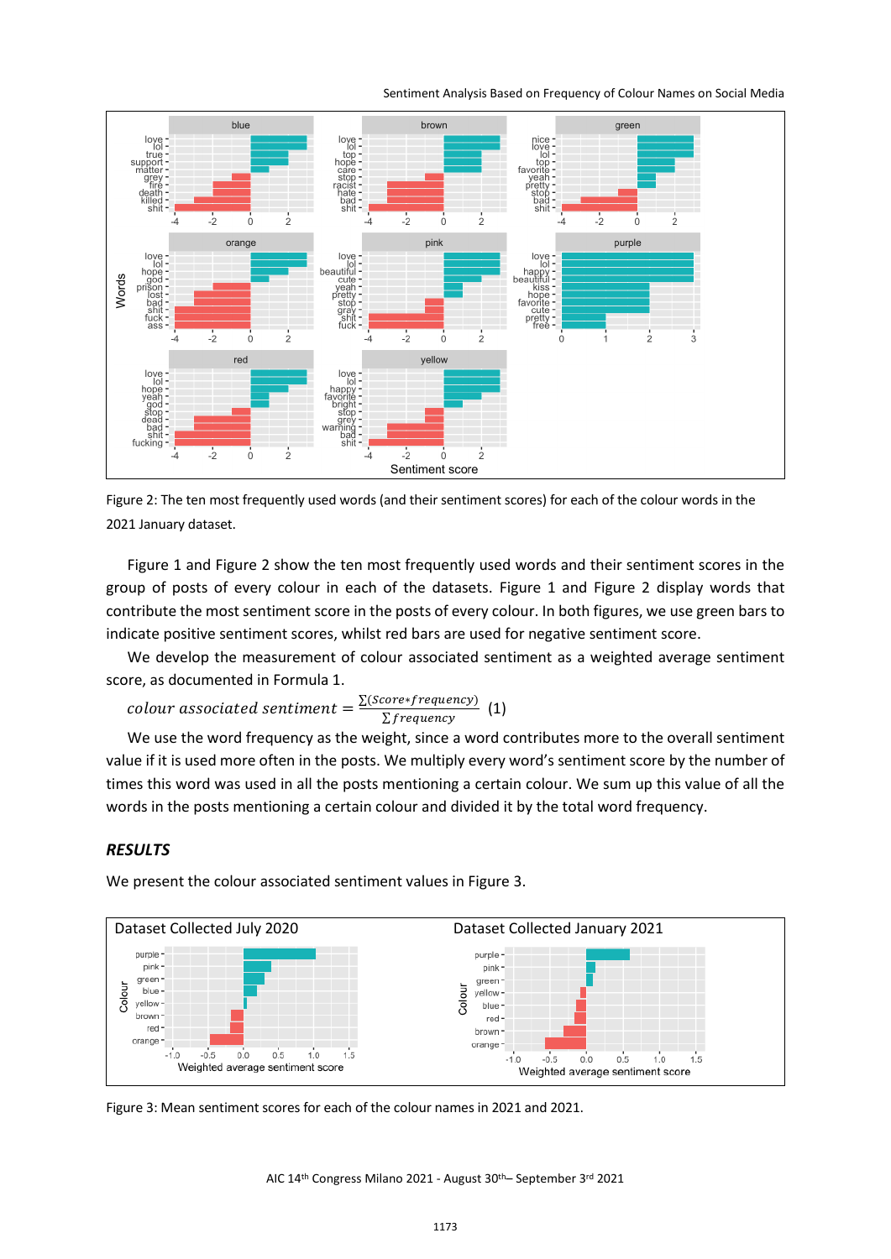Sentiment Analysis Based on Frequency of Colour Names on Social Media



Figure 2: The ten most frequently used words (and their sentiment scores) for each of the colour words in the 2021 January dataset.

Figure 1 and Figure 2 show the ten most frequently used words and their sentiment scores in the group of posts of every colour in each of the datasets. Figure 1 and Figure 2 display words that contribute the most sentiment score in the posts of every colour. In both figures, we use green bars to indicate positive sentiment scores, whilst red bars are used for negative sentiment score.

We develop the measurement of colour associated sentiment as a weighted average sentiment score, as documented in Formula 1.

*colour associated sentiment* =  $\frac{\sum (Score*frequency)}{\sum frequency}$  (1)

We use the word frequency as the weight, since a word contributes more to the overall sentiment value if it is used more often in the posts. We multiply every word's sentiment score by the number of times this word was used in all the posts mentioning a certain colour. We sum up this value of all the words in the posts mentioning a certain colour and divided it by the total word frequency.

#### *RESULTS*

We present the colour associated sentiment values in Figure 3.



Figure 3: Mean sentiment scores for each of the colour names in 2021 and 2021.

AIC 14th Congress Milano 2021 - August 30th– September 3rd 2021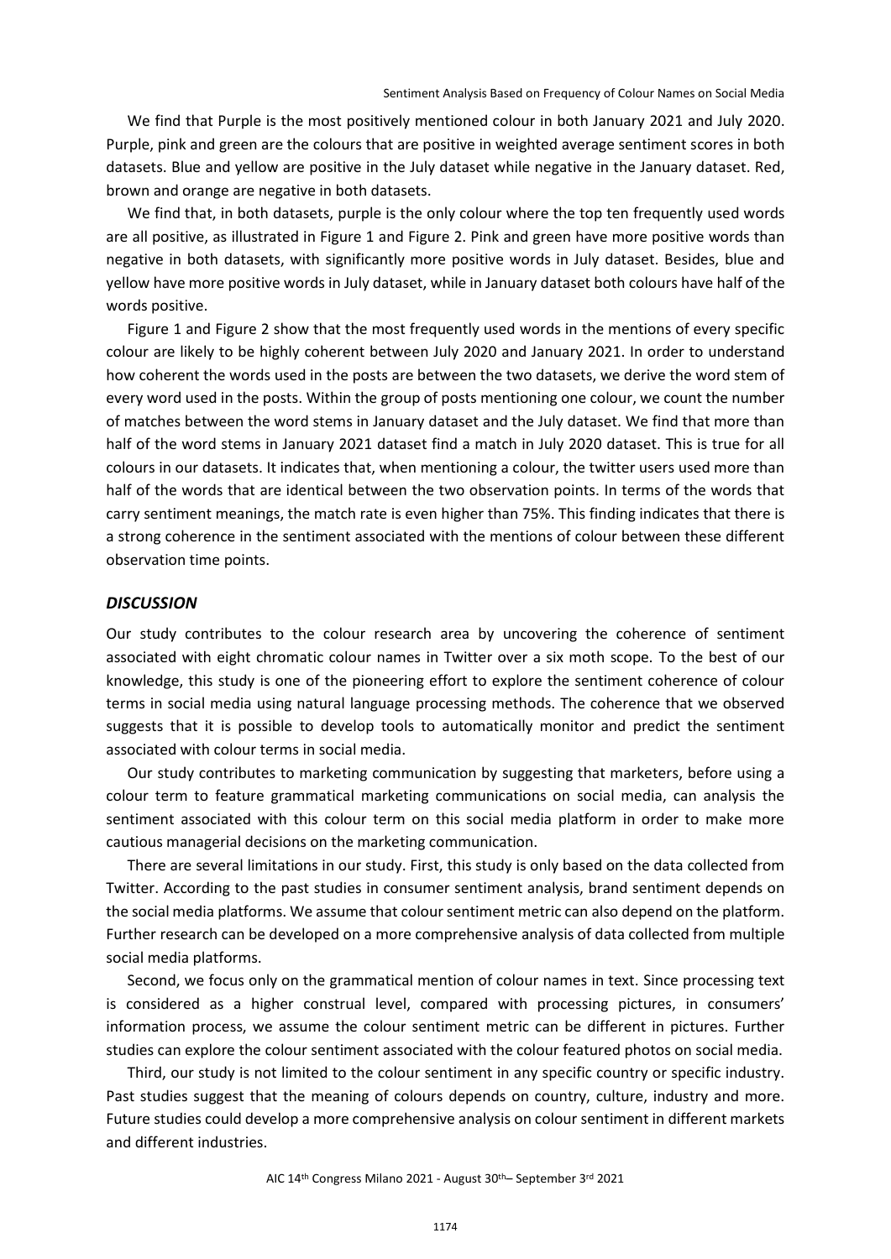We find that Purple is the most positively mentioned colour in both January 2021 and July 2020. Purple, pink and green are the colours that are positive in weighted average sentiment scores in both datasets. Blue and yellow are positive in the July dataset while negative in the January dataset. Red, brown and orange are negative in both datasets.

We find that, in both datasets, purple is the only colour where the top ten frequently used words are all positive, as illustrated in Figure 1 and Figure 2. Pink and green have more positive words than negative in both datasets, with significantly more positive words in July dataset. Besides, blue and yellow have more positive words in July dataset, while in January dataset both colours have half of the words positive.

Figure 1 and Figure 2 show that the most frequently used words in the mentions of every specific colour are likely to be highly coherent between July 2020 and January 2021. In order to understand how coherent the words used in the posts are between the two datasets, we derive the word stem of every word used in the posts. Within the group of posts mentioning one colour, we count the number of matches between the word stems in January dataset and the July dataset. We find that more than half of the word stems in January 2021 dataset find a match in July 2020 dataset. This is true for all colours in our datasets. It indicates that, when mentioning a colour, the twitter users used more than half of the words that are identical between the two observation points. In terms of the words that carry sentiment meanings, the match rate is even higher than 75%. This finding indicates that there is a strong coherence in the sentiment associated with the mentions of colour between these different observation time points.

#### *DISCUSSION*

Our study contributes to the colour research area by uncovering the coherence of sentiment associated with eight chromatic colour names in Twitter over a six moth scope. To the best of our knowledge, this study is one of the pioneering effort to explore the sentiment coherence of colour terms in social media using natural language processing methods. The coherence that we observed suggests that it is possible to develop tools to automatically monitor and predict the sentiment associated with colour terms in social media.

Our study contributes to marketing communication by suggesting that marketers, before using a colour term to feature grammatical marketing communications on social media, can analysis the sentiment associated with this colour term on this social media platform in order to make more cautious managerial decisions on the marketing communication.

There are several limitations in our study. First, this study is only based on the data collected from Twitter. According to the past studies in consumer sentiment analysis, brand sentiment depends on the social media platforms. We assume that colour sentiment metric can also depend on the platform. Further research can be developed on a more comprehensive analysis of data collected from multiple social media platforms.

Second, we focus only on the grammatical mention of colour names in text. Since processing text is considered as a higher construal level, compared with processing pictures, in consumers' information process, we assume the colour sentiment metric can be different in pictures. Further studies can explore the colour sentiment associated with the colour featured photos on social media.

Third, our study is not limited to the colour sentiment in any specific country or specific industry. Past studies suggest that the meaning of colours depends on country, culture, industry and more. Future studies could develop a more comprehensive analysis on colour sentiment in different markets and different industries.